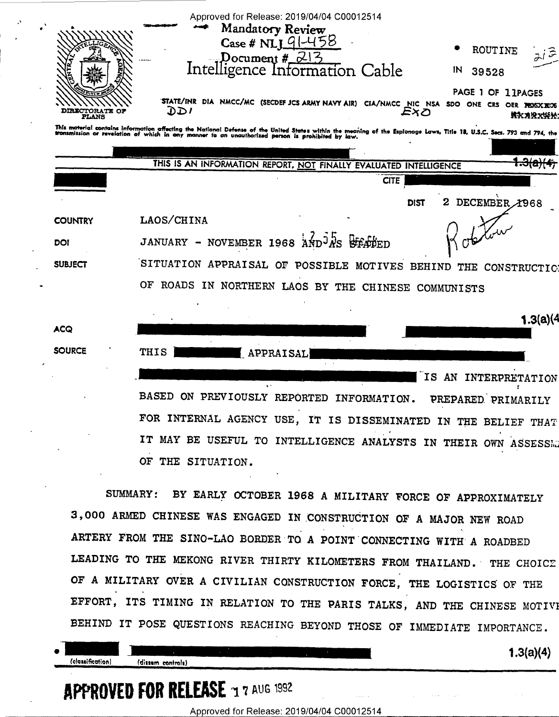|                       | Approved for Release: 2019/04/04 C00012514<br>Mandatory Review<br>$Case # NI191-458$<br>ROUTINE<br>Document #_ <del>213</del>                                                                                                 |
|-----------------------|-------------------------------------------------------------------------------------------------------------------------------------------------------------------------------------------------------------------------------|
| <b>DIRECTORATE OF</b> | Intelligence Information Cable<br>IN<br>39528<br>PAGE 1 OF 11PAGES<br>STATE/INR DIA NMCC/MC (SECDEF JCS ARMY NAVY AIR) CIA/NMCC NIC NSA SDO ONE CRS OER PESSXECS<br>וספ<br>Exo<br>*******                                     |
| PLANS                 | This material contains information affecting the National Defense of the United States within the meaning of the Espionage Laws, Title 18, U.S.C. Secs. 793 and 794, the transmission or revelation of which in any manner to |
|                       | THIS IS AN INFORMATION REPORT, NOT FINALLY EVALUATED INTELLIGENCE<br><b>CITE</b>                                                                                                                                              |
|                       | DECEMBER 1968<br>DIST                                                                                                                                                                                                         |
| <b>COUNTRY</b>        | LAOS/CHINA                                                                                                                                                                                                                    |
| DOI                   | NOVEMBER 1968 AND <sup>J</sup> AS STATED<br><b>JANUARY</b>                                                                                                                                                                    |
| <b>SUBJECT</b>        | SITUATION APPRAISAL OF POSSIBLE MOTIVES BEHIND<br>THE<br><b>CONSTRUCTIC</b>                                                                                                                                                   |
|                       | OF<br>ROADS IN NORTHERN LAOS BY THE CHINESE COMMUNISTS                                                                                                                                                                        |
|                       | 1.3(a)(4)                                                                                                                                                                                                                     |
| ACQ                   |                                                                                                                                                                                                                               |
| <b>SOURCE</b>         | THIS<br>APPRAISAL                                                                                                                                                                                                             |
|                       | IS<br>AN<br><b>INTERPRETATION</b>                                                                                                                                                                                             |
|                       | <b>BASED</b><br>ON PREVIOUSLY REPORTED<br>INFORMATION.<br>PREPARED PRIMARILY                                                                                                                                                  |
|                       | FOR INTERNAL AGENCY USE, IT IS DISSEMINATED IN THE BELIEF<br><b>THAT</b>                                                                                                                                                      |
|                       | IT MAY BE USEFUL TO INTELLIGENCE ANALYSTS<br>IN THEIR OWN ASSESSED                                                                                                                                                            |

OF THE SITUATION.

BY EARLY OCTOBER 1968 A MILITARY FORCE OF APPROXIMATELY **SUMMARY:** 3,000 ARMED CHINESE WAS ENGAGED IN CONSTRUCTION OF A MAJOR NEW ROAD ARTERY FROM THE SINO-LAO BORDER TO A POINT CONNECTING WITH A ROADBED LEADING TO THE MEKONG RIVER THIRTY KILOMETERS FROM THAILAND. THE CHOICE OF A MILITARY OVER A CIVILIAN CONSTRUCTION FORCE, THE LOGISTICS OF THE EFFORT, ITS TIMING IN RELATION TO THE PARIS TALKS, AND THE CHINESE MOTIVE BEHIND IT POSE QUESTIONS REACHING BEYOND THOSE OF IMMEDIATE IMPORTANCE.

(classification)

(dissem controls)

 $1.3(a)(4)$ 

## APPROVED FOR RELEASE 1 7 AUG 1992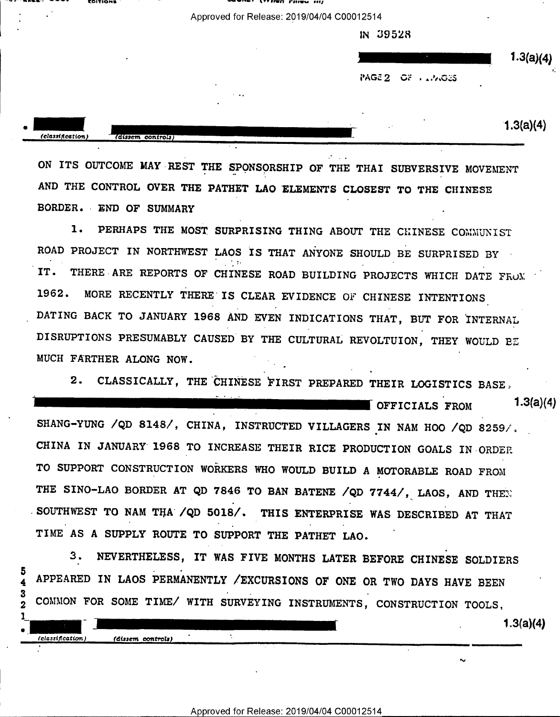- ' Approved for Release: 2019/04/04 C00012514 iN 39528  $1.3(a)(4)$ PAGE 2 OF PLANGES Y. ٠

-ruwnw -~'- cwfion' V ' <sup>W</sup>"T —"fi'v"-" '\'I?Ifh'i'|||'u nu] '

 $1.3(a)(4)$ 

 $1.3(a)(4)$ 

 $\sim$ 

ON ITS OUTCOME MAY REST THE SPONSORSHIP OF THE THAI SUBVERSIVE MOVEMENT AND THE CONTROL OVER THE PATHET LAO ELEMENTS CLOSEST TO THE CHINESE BORDER. END OF SUMMARY

1. PERHAPS THE MOST SURPRISING THING ABOUT THE CHINESE COMMUNIST ROAD PROJECT IN NORTHWEST LAOS IS THAT ANYONE SHOULD BE SURPRISED BY IT. THERE ARE REPORTS OF CHINESE ROAD BUILDING PROJECTS WHICH DATE FROM 1962. MORE RECENTLY THERE IS CLEAR EVIDENCE OF CHINESE INTENTIONS DATING BACK TO JANUARY 1968 AND EVEN INDICATIONS THAT, BUT FOR INTERNAL DISRUPTIONS PRESUMABLY CAUSED BY THE CULTURAL REVOLTUION, THEY WOULD BE MUCH FARTHER ALONG NOW.

2. CLASSICALLY, THE CHINESE FIRST PREPARED THEIR LOGISTICS BASE.

 $\blacksquare$  OFFICIALS  $_{\text{FROM}}$  1.3(a)(4) SHANG-YUNG /QD 8148/, CHINA, INSTRUCTED VILLAGERS IN NAM HOO /QD 8259/. CHINA IN JANUARY 1968 TO INCREASE THEIR RICE PRODUCTION GOALS IN-ORDER TO SUPPORT CONSTRUCTION WORKERS WHO WOULD BUILD A MOTORABLE ROAD FROM THE SINO-LAO BORDER AT QD 7846 TO BAN BATENE /QD 7744/, LAOS, AND THEE ,SOUTHWEST TO NAM THA /QD 5018/. THIS ENTERPRISE WAS DESCRIBED AT THAT TIME AS A SUPPLY ROUTE TO SUPPORT THE PATHET LAO.

3. NEVERTHELESS, IT WAS FIVE MONTHS LATER BEFORE CHINESE SOLDIERS APPEARED IN LAOS PERMANENTLY /EXCURSIONS OF ONE OR TWO DAYS HAVE BEEN COMMON FOR SOME TIME/ WITH SURVEYING INSTRUMENTS, CONSTRUCTION TOOLS,

 $\bullet$  .

(classification) (dissem controls)

 $\blacksquare$  . The contract of the contract of the contract of the contract of the contract of the contract of the contract of the contract of the contract of the contract of the contract of the contract of the contract of the

 $\tilde{\phantom{a}}$ 

 $\mathbf 2$ 1 classification)

(dissem controls)

' \_\_ \_\_.. \_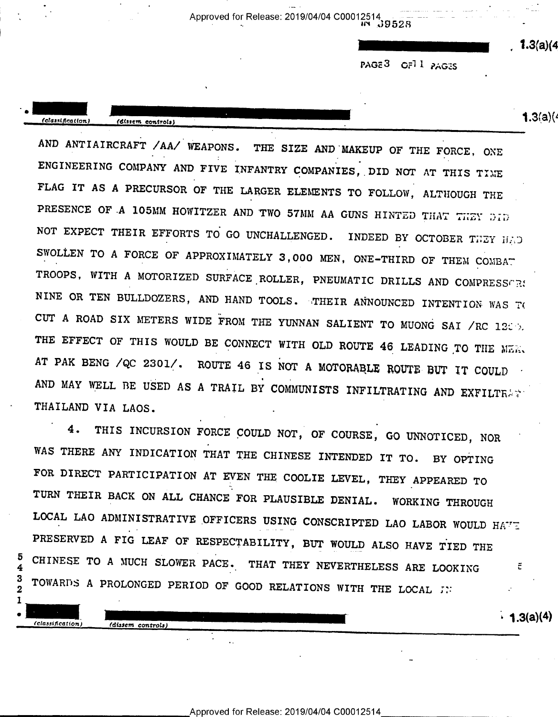PAGE3 OF11 PAGES

 $1.3(a)(4)$ 

(classification)

(dissem controls)

**1.3**(a)(4

 $\cdot$  1.3(a)(4)

AND ANTIAIRCRAFT /AA/ WEAPONS. THE SIZE AND MAKEUP OF THE FORCE, ONE ENGINEERING COMPANY AND FIVE INFANTRY COMPANIES, DID NOT AT THIS TIME FLAG IT AS A PRECURSOR OF THE LARGER ELEMENTS TO FOLLOW, ALTHOUGH THE PRESENCE OF A 105MM HOWITZER AND TWO 57MM AA GUNS HINTED THAT THEY DID NOT EXPECT THEIR EFFORTS TO GO UNCHALLENGED. INDEED BY OCTOBER THEY HAD SWOLLEN TO A FORCE OF APPROXIMATELY 3,000 MEN, ONE-THIRD OF THEM COMBAT TROOPS, WITH A MOTORIZED SURFACE ROLLER, PNEUMATIC DRILLS AND COMPRESSORS NINE OR TEN BULLDOZERS, AND HAND TOOLS. THEIR ANNOUNCED INTENTION WAS TO CUT A ROAD SIX METERS WIDE FROM THE YUNNAN SALIENT TO MUONG SAI /RC 1200. THE EFFECT OF THIS WOULD BE CONNECT WITH OLD ROUTE 46 LEADING TO THE MER. AT PAK BENG /QC 2301/. ROUTE 46 IS NOT A MOTORABLE ROUTE BUT IT COULD AND MAY WELL BE USED AS A TRAIL BY COMMUNISTS INFILTRATING AND EXFILTRATI THAILAND VIA LAOS.

THIS INCURSION FORCE COULD NOT, OF COURSE, GO UNNOTICED, NOR 4. WAS THERE ANY INDICATION THAT THE CHINESE INTENDED IT TO. BY OPTING FOR DIRECT PARTICIPATION AT EVEN THE COOLIE LEVEL, THEY APPEARED TO TURN THEIR BACK ON ALL CHANCE FOR PLAUSIBLE DENIAL. WORKING THROUGH LOCAL LAO ADMINISTRATIVE OFFICERS USING CONSCRIPTED LAO LABOR WOULD HAVE PRESERVED A FIG LEAF OF RESPECTABILITY, BUT WOULD ALSO HAVE TIED THE CHINESE TO A MUCH SLOWER PACE. THAT THEY NEVERTHELESS ARE LOOKING  $\overline{c}$ TOWARDS A PROLONGED PERIOD OF GOOD RELATIONS WITH THE LOCAL JN

3  $\overline{2}$ 1

(classification)

(dissem controls)

5

4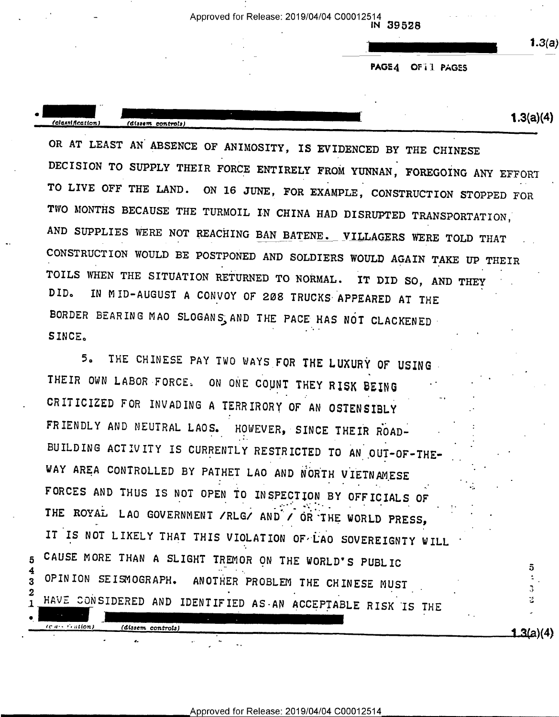IN 39528

 $1.3(a)$ 

PAGE4 OF II PAGES

 $1.3(a)(4)$ (classification) (dissem controls)

OR AT LEAST AN ABSENCE OF ANIMOSITY, IS EVIDENCED BY THE CHINESE DECISION TO SUPPLY THEIR FORCE ENTIRELY FROM YUNNAN, FOREGOING ANY EFFORT TO LIVE OFF THE LAND. ON 16 JUNE, FOR EXAMPLE, CONSTRUCTION STOPPED FOR TWO MONTHS BECAUSE THE TURMOIL IN CHINA HAD DISRUPTED TRANSPORTATION, AND SUPPLIES WERE NOT REACHING BAN BATENE. VILLAGERS WERE TOLD THAT CONSTRUCTION WOULD BE POSTPONED AND SOLDIERS WOULD AGAIN TAKE UP THEIR TOILS WHEN THE SITUATION RETURNED TO NORMAL. IT DID SO, AND THEY IN MID-AUGUST A CONVOY OF 208 TRUCKS APPEARED AT THE DID. BORDER BEARING MAO SLOGANS, AND THE PACE HAS NOT CLACKENED SINCE.

THE CHINESE PAY TWO WAYS FOR THE LUXURY OF USING  $5<sub>a</sub>$ THEIR OWN LABOR FORCE. ON ONE COUNT THEY RISK BEING CRITICIZED FOR INVADING A TERRIRORY OF AN OSTENSIBLY FRIENDLY AND NEUTRAL LAOS. HOWEVER, SINCE THEIR ROAD-BUILDING ACTIVITY IS CURRENTLY RESTRICTED TO AN OUT-OF-THE-WAY AREA CONTROLLED BY PATHET LAO AND NORTH VIETNAMESE FORCES AND THUS IS NOT OPEN TO INSPECTION BY OFFICIALS OF THE ROYAL LAO GOVERNMENT /RLG/ AND / OR THE WORLD PRESS, IT IS NOT LIKELY THAT THIS VIOLATION OF LAO SOVEREIGNTY WILL CAUSE MORE THAN A SLIGHT TREMOR ON THE WORLD'S PUBLIC 5 OPINION SEISMOGRAPH. ANOTHER PROBLEM THE CHINESE MUST G. HAVE CONSIDERED AND IDENTIFIED AS AN ACCEPTABLE RISK IS THE 芝  $(c | a \cdots c)$  ation

5

3

1

 $(dissem\ controls)$ 

 $1.3(a)(4)$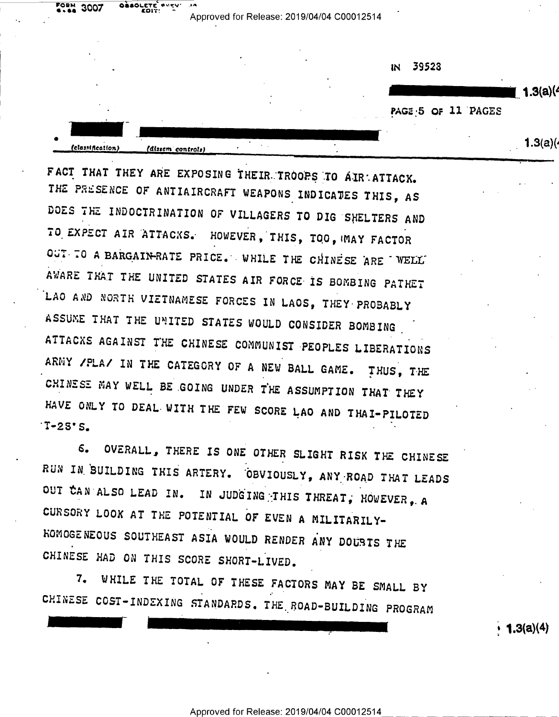**FORM** 3007

(classification)

**OAAOLET** 

(dissem controls)

39523 IN.

 $(1.3(a))$ 

PAGE 5 OF 11 PAGES

 $1.3(a)($ 

FACT THAT THEY ARE EXPOSING THEIR TROOPS TO AIR ATTACK. THE PRESENCE OF ANTIAIRCRAFT WEAPONS INDICATES THIS, AS DOES THE INDOCTRINATION OF VILLAGERS TO DIG SHELTERS AND TO EXPECT AIR ATTACKS. HOWEVER, THIS, TOO, WAY FACTOR OUT TO A BARGAIN-RATE PRICE. WHILE THE CHINESE ARE WELL AWARE THAT THE UNITED STATES AIR FORCE IS BOMBING PATHET LAO AND NORTH VIETNAMESE FORCES IN LAOS, THEY PROBABLY ASSUME THAT THE UNITED STATES WOULD CONSIDER BOMBING ATTACKS AGAINST THE CHINESE COMMUNIST PEOPLES LIBERATIONS ARMY /PLA/ IN THE CATEGORY OF A NEW BALL GAME. THUS, THE CHINESE MAY WELL BE GOING UNDER THE ASSUMPTION THAT THEY HAVE ONLY TO DEAL WITH THE FEW SCORE LAO AND THAI-PILOTED  $T-2S'S$ .

OVERALL, THERE IS ONE OTHER SLIGHT RISK THE CHINESE  $6.$ RUN IN BUILDING THIS ARTERY. OBVIOUSLY, ANY ROAD THAT LEADS OUT CAN ALSO LEAD IN. IN JUDGING THIS THREAT, HOWEVER, A CURSORY LOOK AT THE POTENTIAL OF EVEN A MILITARILY-KOMOGENEOUS SOUTHEAST ASIA WOULD RENDER ANY DOUBTS THE CHINESE HAD ON THIS SCORE SHORT-LIVED.

WHILE THE TOTAL OF THESE FACTORS MAY BE SMALL BY  $7.$ CHINESE COST-INDEXING STANDARDS. THE ROAD-BUILDING PROGRAM

**1.3(a)(4)**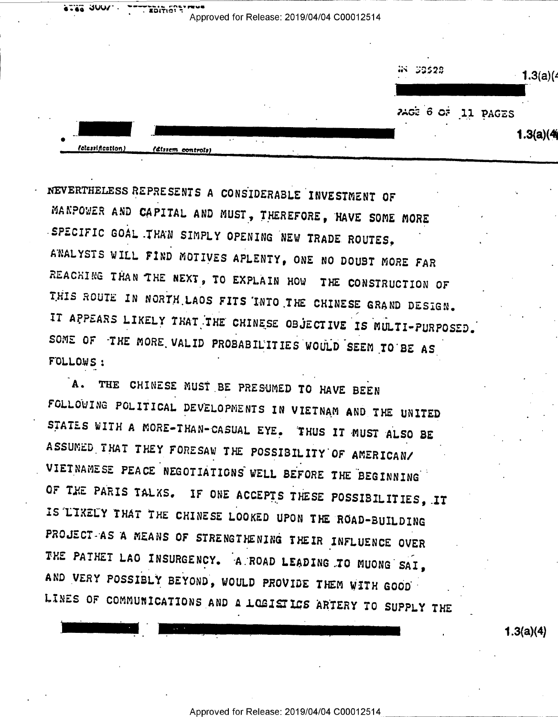Approved for Release: 2019/04/04 C00012514 W 59528  $1.3(a)(4)$ AGE 6 OF 11 PAGES  $1.3(a)(4)$ felessification (dissem controls)

NEVERTHELESS REPRESENTS A CONSIDERABLE INVESTMENT OF MANPOWER AND CAPITAL AND MUST, THEREFORE, HAVE SOME MORE SPECIFIC GOAL THAN SIMPLY OPENING NEW TRADE ROUTES, AWALYSTS WILL FIND MOTIVES APLENTY, ONE NO DOUBT MORE FAR REACHING THAN THE NEXT, TO EXPLAIN HOW THE CONSTRUCTION OF THIS ROUTE IN NORTH LAOS FITS INTO THE CHINESE GRAND DESIGN. IT APPEARS LIKELY THAT THE CHINESE OBJECTIVE IS MULTI-PURPOSED. SOME OF THE MORE VALID PROBABILITIES WOULD SEEM TO BE AS FOLLOWS:

 $2.46$   $300$ 

 $\overline{1}$  . EDITIST .

A. THE CHINESE MUST BE PRESUMED TO HAVE BEEN FOLLOWING POLITICAL DEVELOPMENTS IN VIETNAM AND THE UNITED STATES WITH A MORE-THAN-CASUAL EYE. THUS IT MUST ALSO BE ASSUMED THAT THEY FORESAW THE POSSIBILITY OF AMERICAN/ VIETNAMESE PEACE NEGOTIATIONS WELL BEFORE THE BEGINNING OF THE PARIS TALKS. IF ONE ACCEPTS THESE POSSIBILITIES, IT IS 'LIKELY THAT THE CHINESE LOOKED UPON THE ROAD-BUILDING PROJECT-AS A MEANS OF STRENGTHENING THEIR INFLUENCE OVER THE PATHET LAO INSURGENCY. A ROAD LEADING TO MUONG SAI. AND VERY POSSIBLY BEYOND, WOULD PROVIDE THEM WITH GOOD LINES OF COMMUNICATIONS AND A LOGISTICS ARTERY TO SUPPLY THE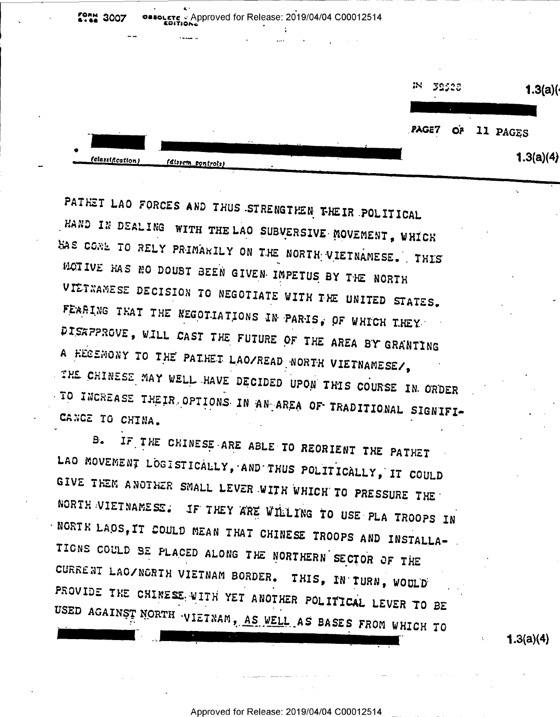|                       |                                    |  | ж<br>32528 |        | 1.3(a)(   |  |
|-----------------------|------------------------------------|--|------------|--------|-----------|--|
|                       |                                    |  |            | $\sim$ |           |  |
|                       |                                    |  | PAGE7      | OP     | 11 PAGES  |  |
| ۰<br>(classification) | $\sim$ $\sim$<br>(dissem pontrols) |  |            |        | 1.3(a)(4) |  |

PATHET LAO FORCES AND THUS STRENGTHEN THEIR POLITICAL HAND IN DEALING WITH THE LAO SUBVERSIVE MOVEMENT, WHICH HAS CONE TO RELY PRIMARILY ON THE NORTH VIETNAMESE. THIS MOTIVE HAS NO DOUBT BEEN GIVEN IMPETUS BY THE NORTH VIETNAMESE DECISION TO NEGOTIATE WITH THE UNITED STATES. FEARING THAT THE NEGOTIATIONS IN PARIS, OF WHICH THEY DISAPPROVE, WILL CAST THE FUTURE OF THE AREA BY GRANTING A HECEMONY TO THE PATHET LAO/READ NORTH VIETNAMESE/, THE CHINESE MAY WELL HAVE DECIDED UPON THIS COURSE IN ORDER TO INCREASE THEIR OPTIONS IN AN AREA OF TRADITIONAL SIGNIFI-CANCE TO CHINA.

**MAN 3007** 

IF THE CHINESE ARE ABLE TO REORIENT THE PATHET B. LAO MOVEMENT LOGISTICALLY, AND THUS POLITICALLY, IT COULD GIVE THEM ANOTHER SMALL LEVER WITH WHICH TO PRESSURE THE NORTH VIETNAMESE. IF THEY ARE WILLING TO USE PLA TROOPS IN NORTH LAOS, IT COULD MEAN THAT CHINESE TROOPS AND INSTALLA-TIONS COULD BE PLACED ALONG THE NORTHERN SECTOR OF THE CURRENT LAO/NORTH VIETNAM BORDER. THIS, IN TURN, WOULD PROVIDE THE CHINESE WITH YET ANOTHER POLITICAL LEVER TO BE USED AGAINST NORTH VIETNAM, AS WELL AS BASES FROM WHICH TO

 $1.3(a)(4)$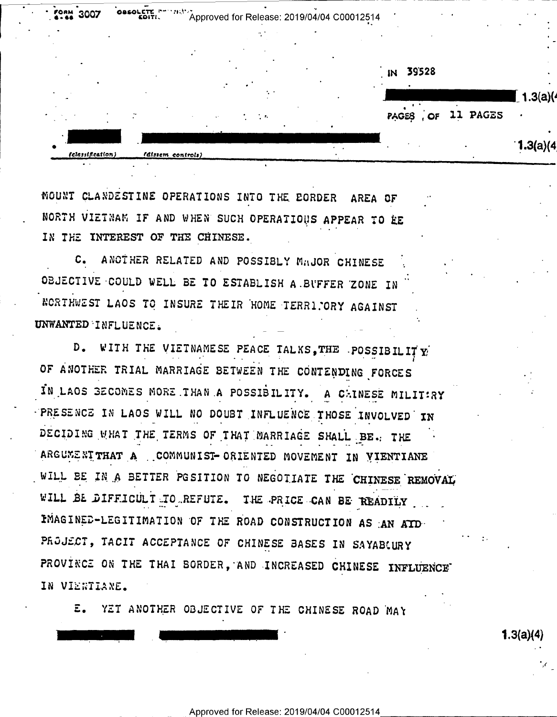|                  |                   |                             | 39528<br>$\blacksquare$ |           |
|------------------|-------------------|-----------------------------|-------------------------|-----------|
|                  |                   |                             |                         | 1.3(a)(4) |
|                  |                   | $\mathcal{L}=\mathcal{L}_0$ | 11 PAGES<br>PAGES, OF   |           |
| (classification) | faissem controls) |                             |                         | 1.3(a)(4) |

MOUNT CLANDESTINE OPERATIONS INTO THE EORDER AREA OF NORTH VIETNAM IF AND WHEN SUCH OPERATIOUS APPEAR TO RE IN THE INTEREST OF THE CHINESE.

C. ANOTHER RELATED AND POSSIBLY MAJOR CHINESE OBJECTIVE COULD WELL BE TO ESTABLISH A BUFFER ZONE IN NORTHWEST LAOS TO INSURE THEIR HOME TERRIPORY AGAINST UNWANTED INFLUENCE.

D. WITH THE VIETNAMESE PEACE TALKS, THE POSSIBILITY OF ANOTHER TRIAL MARRIAGE BETWEEN THE CONTENDING FORCES IN LAOS BECOMES MORE THAN A POSSIBILITY. A CHINESE MILITIRY PRESENCE IN LAOS WILL NO DOUBT INFLUENCE THOSE INVOLVED IN DECIDING WHAT THE TERMS OF THAT MARRIAGE SHALL BE. THE ARGUMENT THAT A COMMUNIST-ORIENTED MOVEMENT IN VIENTIANE WILL BE IN A BETTER POSITION TO NEGOTIATE THE CHINESE REMOVAL WILL BE DIFFICULT TO REFUTE. THE PRICE CAN BE READILY IMAGINED-LEGITIMATION OF THE ROAD CONSTRUCTION AS AN ATD-PROJECT, TACIT ACCEPTANCE OF CHINESE BASES IN SAYABLURY PROVINCE ON THE THAI BORDER, AND INCREASED CHINESE INFLUENCE IN VIENTIANE.

E. YET ANOTHER OBJECTIVE OF THE CHINESE ROAD MAY

 $1.3(a)(4)$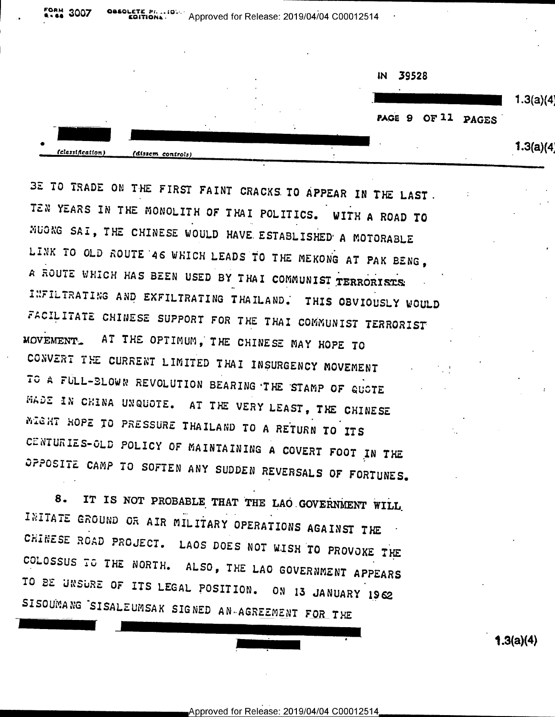3007 Fion: 19 Approved for Release: 2019/04/04 C00012514



3E TO TRADE ON THE FIRST FAINT CRACKS TO APPEAR IN THE LAST. TEN YEARS IN THE MONOLITH OF THAI POLITICS. WITH A ROAD TO MUONG SAI, THE CHINESE WOULD HAVE ESTABLISHED A MOTORABLE LINK TO OLD ROUTE 46 WHICH LEADS TO THE MEKONG AT PAK BENG, A ROUTE WHICH HAS BEEN USED BY THAI COMMUNIST TERRORISTS: INFILTRATING AND EXFILTRATING THAILAND. THIS OBVIOUSLY WOULD FACILITATE CHINESE SUPPORT FOR THE THAI COMMUNIST TERRORIST MOVEMENT. AT THE OPTIMUM, THE CHINESE MAY HOPE TO CONVERT THE CURRENT LIMITED THAI INSURGENCY MOVEMENT TO A FULL-BLOWN REVOLUTION BEARING THE STAMP OF QUOTE MADE IN CHINA UNQUOTE. AT THE VERY LEAST, THE CHINESE MIGHT HOPE TO PRESSURE THAILAND TO A RETURN TO ITS CENTURIES-OLD POLICY OF MAINTAINING A COVERT FOOT IN THE OPPOSITE CAMP TO SOFTEN ANY SUDDEN REVERSALS OF FORTUNES.

IT IS NOT PROBABLE THAT THE LAO GOVERNMENT WILL 8. INITATE GROUND OR AIR MILITARY OPERATIONS AGAINST THE CHINESE ROAD PROJECT. LAOS DOES NOT WISH TO PROVOKE THE COLOSSUS TO THE NORTH. ALSO, THE LAO GOVERNMENT APPEARS TO BE UNSURE OF ITS LEGAL POSITION. ON 13 JANUARY 1962 SISOUMANG SISALEUMSAK SIGNED AN AGREEMENT FOR THE

**1.3(a)(4)**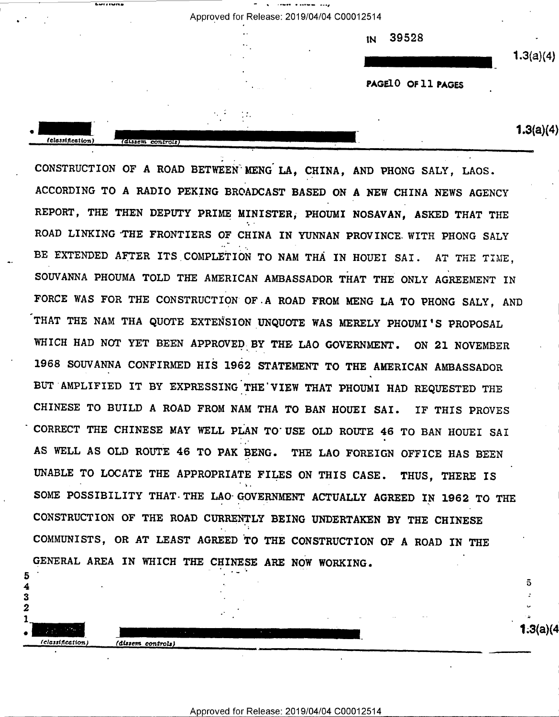| Approved for Release: 2019/04/04 C00012514 |  |  |
|--------------------------------------------|--|--|
|--------------------------------------------|--|--|

Lietuvos dienvidos dienvidos dienvidos dienvidos dienvidos dienvidos dienvidos dienvidos dienvidos dienvidos d

"

1N 39528

 $1.3(a)(4)$ 

PAGEID OF 11 PAGES

 $\overline{\phantom{a} \phantom{a}}$   $\overline{\phantom{a}}$   $\overline{\phantom{a}}$   $\overline{\phantom{a}}$   $\overline{\phantom{a}}$   $\overline{\phantom{a}}$   $\overline{\phantom{a}}$   $\overline{\phantom{a}}$   $\overline{\phantom{a}}$   $\overline{\phantom{a}}$   $\overline{\phantom{a}}$   $\overline{\phantom{a}}$   $\overline{\phantom{a}}$   $\overline{\phantom{a}}$   $\overline{\phantom{a}}$   $\overline{\phantom{a}}$   $\overline{\phantom{a}}$   $\overline{\phantom{a}}$ 

1.3(a)(4

 $\mathbf{c}$ 

u R

THAT THE NAM THA QUOTE EXTENSION UNQUOTE WAS MERELY PHOUMI'S PROPOSAL CONSTRUCTION or A ROAD BETWEEN MENG LA, CHINA, AND PHONG SALY, LAOS. ACCORDING TO A RADIO PEKING BROADCAST BASED ON A NEW CHINA NEWS AGENCY REPORT, THE THEN DEPUTY PRIME MINISTER; PHOUMI NOSAVAN, ASKED THAT THE ROAD LINKING'THE FRONTIERS OF CHINA IN YUNNAN PROVINCE WITH PHONG SALY BE EXTENDED AFTER ITS COMPLETION TO NAM THA IN HOUEI SAI. AT THE TIME. SOUVANNA PHOUMA TOLD THE AMERICAN AMBASSADOR THAT THE ONLY AGREEMENT IN FORCE WAS FOR THE CONSTRUCTION OF.A ROAD FROM MENG LA TO PHONG SALY, AND WHICH HAD NOT YET BEEN APPROVED BY THE LAO GOVERNMENT. ON 21 NOVEMBER 1968 SOUVANNA CONFIRMED HIS 1962 STATEMENT TO THE AMERICAN AMBASSADOR BUT AMPLIFIED IT BY EXPRESSING THE'VIEW THAT PHOUMI HAD REQUESTED THE CHINESE TO BUILD A ROAD FROM NAM THA TO BAN HOUEI SAI. IF THIS PROVES CORRECT THE CHINESE MAY WELL PLAN TO'USE OLD ROUTE 46 TO BAN HOUEI SAI AS WELL AS OLD ROUTE 46 TO PAK BENG. THE LAO FOREIGN OFFICE HAS BEEN UNABLE TO LOCATE THE APPROPRIATE FILES ON THIS CASE. THUS, THERE IS SOME POSSIBILITY THAT-THE LAO GOVERNMENT ACTUALLY AGREED IN 1962 TO THE CONSTRUCTION OF THE ROAD CURRENTLY BEING UNDERTAKEN BY THE CHINESE COMMUNISTS, on AT LEAST AGREED To THE CONSTRUCTION or A ROAD IN THE GENERAL AREA IN WHICH THE CHINESE ARE NOW WORKING.

 $\bullet$  ,

(classification) (dissem controls)

 $\mathbf{3}$ 

 $\boldsymbol{2}$ 

5 4 (classification)

(dissem controls)